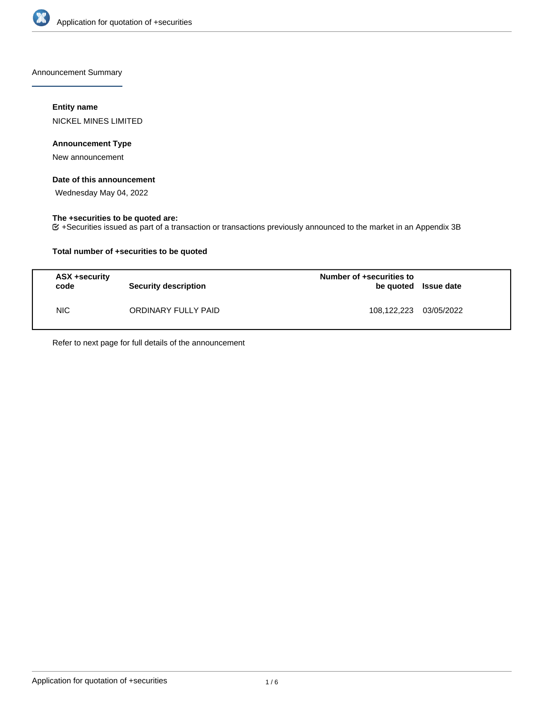

Announcement Summary

## **Entity name**

NICKEL MINES LIMITED

## **Announcement Type**

New announcement

### **Date of this announcement**

Wednesday May 04, 2022

# **The +securities to be quoted are:**

+Securities issued as part of a transaction or transactions previously announced to the market in an Appendix 3B

## **Total number of +securities to be quoted**

| ASX +security<br>code | <b>Security description</b> | Number of +securities to<br>be quoted Issue date |            |
|-----------------------|-----------------------------|--------------------------------------------------|------------|
| NIC.                  | ORDINARY FULLY PAID         | 108,122,223                                      | 03/05/2022 |

Refer to next page for full details of the announcement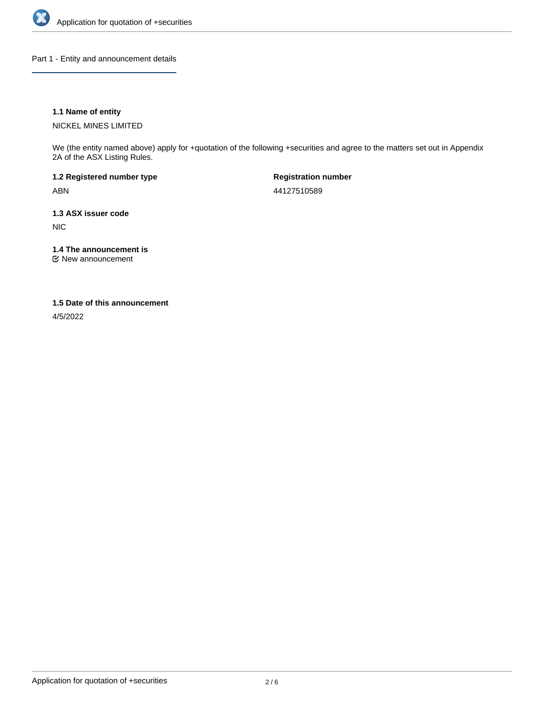

Part 1 - Entity and announcement details

## **1.1 Name of entity**

NICKEL MINES LIMITED

We (the entity named above) apply for +quotation of the following +securities and agree to the matters set out in Appendix 2A of the ASX Listing Rules.

**1.2 Registered number type** ABN

**Registration number** 44127510589

**1.3 ASX issuer code** NIC

**1.4 The announcement is**

New announcement

#### **1.5 Date of this announcement**

4/5/2022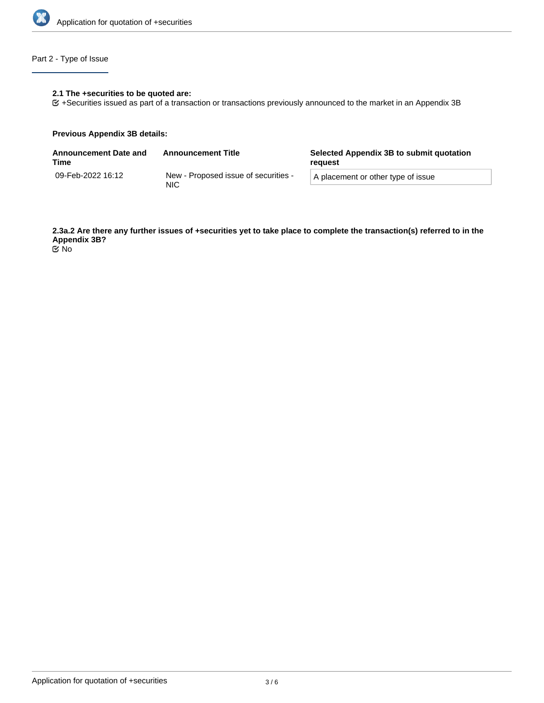

# Part 2 - Type of Issue

## **2.1 The +securities to be quoted are:**

+Securities issued as part of a transaction or transactions previously announced to the market in an Appendix 3B

#### **Previous Appendix 3B details:**

| <b>Announcement Date and</b><br>Time | <b>Announcement Title</b>                          | Selected Appendix 3B to submit quotation<br>reauest |
|--------------------------------------|----------------------------------------------------|-----------------------------------------------------|
| 09-Feb-2022 16:12                    | New - Proposed issue of securities -<br><b>NIC</b> | A placement or other type of issue                  |

**2.3a.2 Are there any further issues of +securities yet to take place to complete the transaction(s) referred to in the Appendix 3B?**

No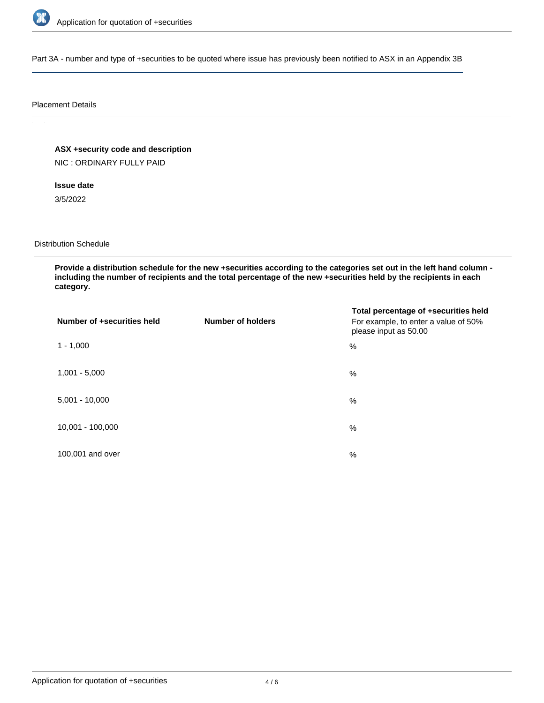

Part 3A - number and type of +securities to be quoted where issue has previously been notified to ASX in an Appendix 3B

#### Placement Details

**ASX +security code and description**

NIC : ORDINARY FULLY PAID

**Issue date**

3/5/2022

Distribution Schedule

**Provide a distribution schedule for the new +securities according to the categories set out in the left hand column including the number of recipients and the total percentage of the new +securities held by the recipients in each category.**

| Number of +securities held | <b>Number of holders</b> | Total percentage of +securities held<br>For example, to enter a value of 50%<br>please input as 50.00 |
|----------------------------|--------------------------|-------------------------------------------------------------------------------------------------------|
| $1 - 1,000$                |                          | %                                                                                                     |
| $1,001 - 5,000$            |                          | $\%$                                                                                                  |
| $5,001 - 10,000$           |                          | %                                                                                                     |
| 10,001 - 100,000           |                          | $\frac{0}{0}$                                                                                         |
| 100,001 and over           |                          | $\%$                                                                                                  |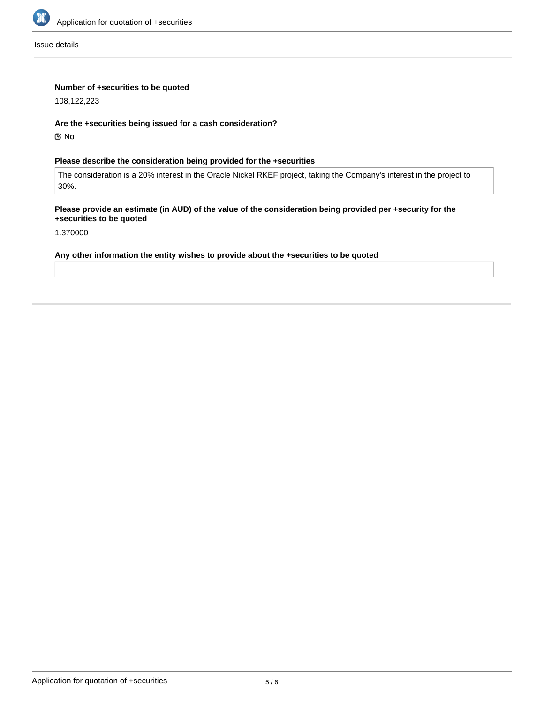

Issue details

## **Number of +securities to be quoted**

108,122,223

#### **Are the +securities being issued for a cash consideration?**

No

## **Please describe the consideration being provided for the +securities**

The consideration is a 20% interest in the Oracle Nickel RKEF project, taking the Company's interest in the project to 30%.

#### **Please provide an estimate (in AUD) of the value of the consideration being provided per +security for the +securities to be quoted**

1.370000

#### **Any other information the entity wishes to provide about the +securities to be quoted**